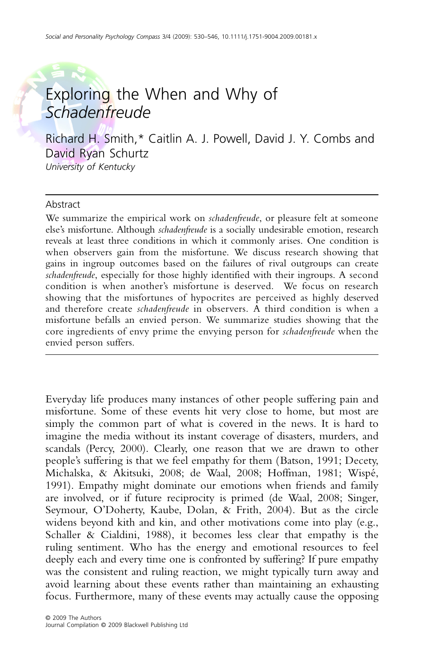# Exploring the When and Why of *Schadenfreude*

Richard H. Smith,\* Caitlin A. J. Powell, David J. Y. Combs and David Ryan Schurtz *University of Kentucky*

#### Abstract

We summarize the empirical work on *schadenfreude*, or pleasure felt at someone else's misfortune. Although *schadenfreude* is a socially undesirable emotion, research reveals at least three conditions in which it commonly arises. One condition is when observers gain from the misfortune. We discuss research showing that gains in ingroup outcomes based on the failures of rival outgroups can create *schadenfreude*, especially for those highly identified with their ingroups. A second condition is when another's misfortune is deserved. We focus on research showing that the misfortunes of hypocrites are perceived as highly deserved and therefore create *schadenfreude* in observers. A third condition is when a misfortune befalls an envied person. We summarize studies showing that the core ingredients of envy prime the envying person for *schadenfreude* when the envied person suffers.

Everyday life produces many instances of other people suffering pain and misfortune. Some of these events hit very close to home, but most are simply the common part of what is covered in the news. It is hard to imagine the media without its instant coverage of disasters, murders, and scandals (Percy, 2000). Clearly, one reason that we are drawn to other people's suffering is that we feel empathy for them (Batson, 1991; Decety, Michalska, & Akitsuki, 2008; de Waal, 2008; Hoffman, 1981; Wispé, 1991). Empathy might dominate our emotions when friends and family are involved, or if future reciprocity is primed (de Waal, 2008; Singer, Seymour, O'Doherty, Kaube, Dolan, & Frith, 2004). But as the circle widens beyond kith and kin, and other motivations come into play (e.g., Schaller & Cialdini, 1988), it becomes less clear that empathy is the ruling sentiment. Who has the energy and emotional resources to feel deeply each and every time one is confronted by suffering? If pure empathy was the consistent and ruling reaction, we might typically turn away and avoid learning about these events rather than maintaining an exhausting focus. Furthermore, many of these events may actually cause the opposing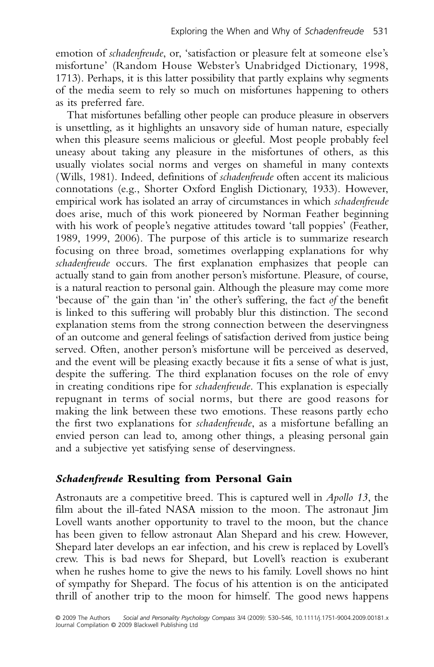emotion of *schadenfreude*, or, 'satisfaction or pleasure felt at someone else's misfortune' (Random House Webster's Unabridged Dictionary, 1998, 1713). Perhaps, it is this latter possibility that partly explains why segments of the media seem to rely so much on misfortunes happening to others as its preferred fare.

That misfortunes befalling other people can produce pleasure in observers is unsettling, as it highlights an unsavory side of human nature, especially when this pleasure seems malicious or gleeful. Most people probably feel uneasy about taking any pleasure in the misfortunes of others, as this usually violates social norms and verges on shameful in many contexts (Wills, 1981). Indeed, definitions of *schadenfreude* often accent its malicious connotations (e.g., Shorter Oxford English Dictionary, 1933). However, empirical work has isolated an array of circumstances in which *schadenfreude* does arise, much of this work pioneered by Norman Feather beginning with his work of people's negative attitudes toward 'tall poppies' (Feather, 1989, 1999, 2006). The purpose of this article is to summarize research focusing on three broad, sometimes overlapping explanations for why *schadenfreude* occurs. The first explanation emphasizes that people can actually stand to gain from another person's misfortune. Pleasure, of course, is a natural reaction to personal gain. Although the pleasure may come more 'because of' the gain than 'in' the other's suffering, the fact *of* the benefit is linked to this suffering will probably blur this distinction. The second explanation stems from the strong connection between the deservingness of an outcome and general feelings of satisfaction derived from justice being served. Often, another person's misfortune will be perceived as deserved, and the event will be pleasing exactly because it fits a sense of what is just, despite the suffering. The third explanation focuses on the role of envy in creating conditions ripe for *schadenfreude*. This explanation is especially repugnant in terms of social norms, but there are good reasons for making the link between these two emotions. These reasons partly echo the first two explanations for *schadenfreude*, as a misfortune befalling an envied person can lead to, among other things, a pleasing personal gain and a subjective yet satisfying sense of deservingness.

#### *Schadenfreude* **Resulting from Personal Gain**

Astronauts are a competitive breed. This is captured well in *Apollo 13*, the film about the ill-fated NASA mission to the moon. The astronaut Jim Lovell wants another opportunity to travel to the moon, but the chance has been given to fellow astronaut Alan Shepard and his crew. However, Shepard later develops an ear infection, and his crew is replaced by Lovell's crew. This is bad news for Shepard, but Lovell's reaction is exuberant when he rushes home to give the news to his family. Lovell shows no hint of sympathy for Shepard. The focus of his attention is on the anticipated thrill of another trip to the moon for himself. The good news happens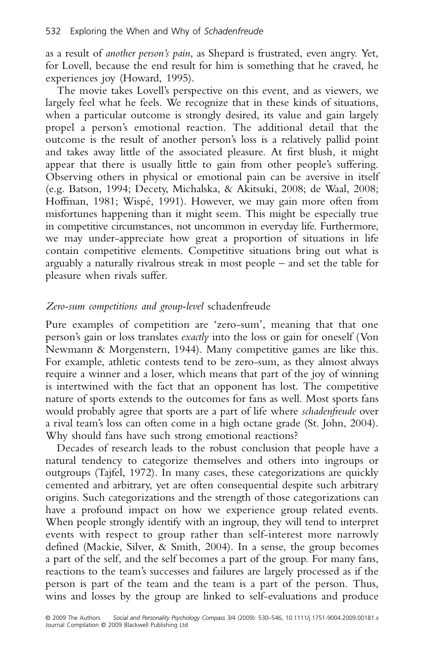as a result of *another person's pain*, as Shepard is frustrated, even angry. Yet, for Lovell, because the end result for him is something that he craved, he experiences joy (Howard, 1995).

The movie takes Lovell's perspective on this event, and as viewers, we largely feel what he feels. We recognize that in these kinds of situations, when a particular outcome is strongly desired, its value and gain largely propel a person's emotional reaction. The additional detail that the outcome is the result of another person's loss is a relatively pallid point and takes away little of the associated pleasure. At first blush, it might appear that there is usually little to gain from other people's suffering. Observing others in physical or emotional pain can be aversive in itself (e.g. Batson, 1994; Decety, Michalska, & Akitsuki, 2008; de Waal, 2008; Hoffman, 1981; Wispé, 1991). However, we may gain more often from misfortunes happening than it might seem. This might be especially true in competitive circumstances, not uncommon in everyday life. Furthermore, we may under-appreciate how great a proportion of situations in life contain competitive elements. Competitive situations bring out what is arguably a naturally rivalrous streak in most people – and set the table for pleasure when rivals suffer.

#### *Zero-sum competitions and group-level* schadenfreude

Pure examples of competition are 'zero-sum', meaning that that one person's gain or loss translates *exactly* into the loss or gain for oneself (Von Newmann & Morgenstern, 1944). Many competitive games are like this. For example, athletic contests tend to be zero-sum, as they almost always require a winner and a loser, which means that part of the joy of winning is intertwined with the fact that an opponent has lost. The competitive nature of sports extends to the outcomes for fans as well. Most sports fans would probably agree that sports are a part of life where *schadenfreude* over a rival team's loss can often come in a high octane grade (St. John, 2004). Why should fans have such strong emotional reactions?

Decades of research leads to the robust conclusion that people have a natural tendency to categorize themselves and others into ingroups or outgroups (Tajfel, 1972). In many cases, these categorizations are quickly cemented and arbitrary, yet are often consequential despite such arbitrary origins. Such categorizations and the strength of those categorizations can have a profound impact on how we experience group related events. When people strongly identify with an ingroup, they will tend to interpret events with respect to group rather than self-interest more narrowly defined (Mackie, Silver, & Smith, 2004). In a sense, the group becomes a part of the self, and the self becomes a part of the group. For many fans, reactions to the team's successes and failures are largely processed as if the person is part of the team and the team is a part of the person. Thus, wins and losses by the group are linked to self-evaluations and produce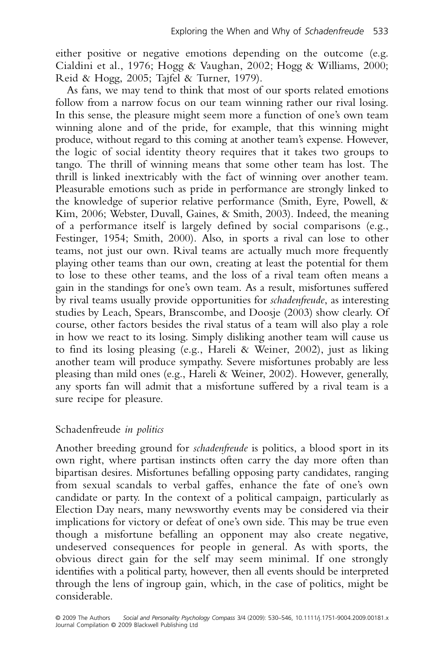either positive or negative emotions depending on the outcome (e.g. Cialdini et al., 1976; Hogg & Vaughan, 2002; Hogg & Williams, 2000; Reid & Hogg, 2005; Tajfel & Turner, 1979).

As fans, we may tend to think that most of our sports related emotions follow from a narrow focus on our team winning rather our rival losing. In this sense, the pleasure might seem more a function of one's own team winning alone and of the pride, for example, that this winning might produce, without regard to this coming at another team's expense. However, the logic of social identity theory requires that it takes two groups to tango. The thrill of winning means that some other team has lost. The thrill is linked inextricably with the fact of winning over another team. Pleasurable emotions such as pride in performance are strongly linked to the knowledge of superior relative performance (Smith, Eyre, Powell, & Kim, 2006; Webster, Duvall, Gaines, & Smith, 2003). Indeed, the meaning of a performance itself is largely defined by social comparisons (e.g., Festinger, 1954; Smith, 2000). Also, in sports a rival can lose to other teams, not just our own. Rival teams are actually much more frequently playing other teams than our own, creating at least the potential for them to lose to these other teams, and the loss of a rival team often means a gain in the standings for one's own team. As a result, misfortunes suffered by rival teams usually provide opportunities for *schadenfreude*, as interesting studies by Leach, Spears, Branscombe, and Doosje (2003) show clearly. Of course, other factors besides the rival status of a team will also play a role in how we react to its losing. Simply disliking another team will cause us to find its losing pleasing (e.g., Hareli & Weiner, 2002), just as liking another team will produce sympathy. Severe misfortunes probably are less pleasing than mild ones (e.g., Hareli & Weiner, 2002). However, generally, any sports fan will admit that a misfortune suffered by a rival team is a sure recipe for pleasure.

#### Schadenfreude *in politics*

Another breeding ground for *schadenfreude* is politics, a blood sport in its own right, where partisan instincts often carry the day more often than bipartisan desires. Misfortunes befalling opposing party candidates, ranging from sexual scandals to verbal gaffes, enhance the fate of one's own candidate or party. In the context of a political campaign, particularly as Election Day nears, many newsworthy events may be considered via their implications for victory or defeat of one's own side. This may be true even though a misfortune befalling an opponent may also create negative, undeserved consequences for people in general. As with sports, the obvious direct gain for the self may seem minimal. If one strongly identifies with a political party, however, then all events should be interpreted through the lens of ingroup gain, which, in the case of politics, might be considerable.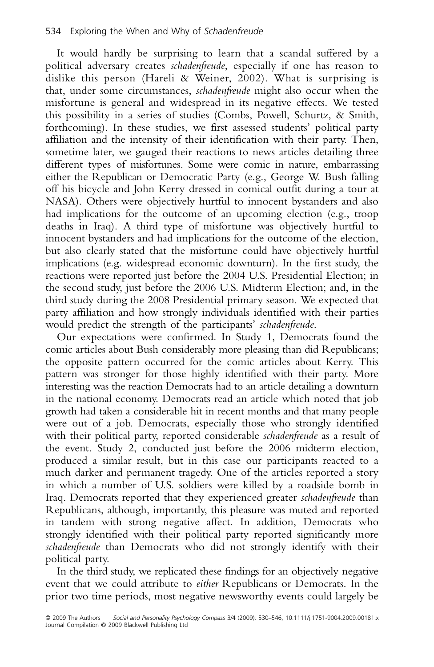It would hardly be surprising to learn that a scandal suffered by a political adversary creates *schadenfreude*, especially if one has reason to dislike this person (Hareli & Weiner, 2002). What is surprising is that, under some circumstances, *schadenfreude* might also occur when the misfortune is general and widespread in its negative effects. We tested this possibility in a series of studies (Combs, Powell, Schurtz, & Smith, forthcoming). In these studies, we first assessed students' political party affiliation and the intensity of their identification with their party. Then, sometime later, we gauged their reactions to news articles detailing three different types of misfortunes. Some were comic in nature, embarrassing either the Republican or Democratic Party (e.g., George W. Bush falling off his bicycle and John Kerry dressed in comical outfit during a tour at NASA). Others were objectively hurtful to innocent bystanders and also had implications for the outcome of an upcoming election (e.g., troop deaths in Iraq). A third type of misfortune was objectively hurtful to innocent bystanders and had implications for the outcome of the election, but also clearly stated that the misfortune could have objectively hurtful implications (e.g. widespread economic downturn). In the first study, the reactions were reported just before the 2004 U.S. Presidential Election; in the second study, just before the 2006 U.S. Midterm Election; and, in the third study during the 2008 Presidential primary season. We expected that party affiliation and how strongly individuals identified with their parties would predict the strength of the participants' *schadenfreude*.

Our expectations were confirmed. In Study 1, Democrats found the comic articles about Bush considerably more pleasing than did Republicans; the opposite pattern occurred for the comic articles about Kerry. This pattern was stronger for those highly identified with their party. More interesting was the reaction Democrats had to an article detailing a downturn in the national economy. Democrats read an article which noted that job growth had taken a considerable hit in recent months and that many people were out of a job. Democrats, especially those who strongly identified with their political party, reported considerable *schadenfreude* as a result of the event. Study 2, conducted just before the 2006 midterm election, produced a similar result, but in this case our participants reacted to a much darker and permanent tragedy. One of the articles reported a story in which a number of U.S. soldiers were killed by a roadside bomb in Iraq. Democrats reported that they experienced greater *schadenfreude* than Republicans, although, importantly, this pleasure was muted and reported in tandem with strong negative affect. In addition, Democrats who strongly identified with their political party reported significantly more *schadenfreude* than Democrats who did not strongly identify with their political party.

In the third study, we replicated these findings for an objectively negative event that we could attribute to *either* Republicans or Democrats. In the prior two time periods, most negative newsworthy events could largely be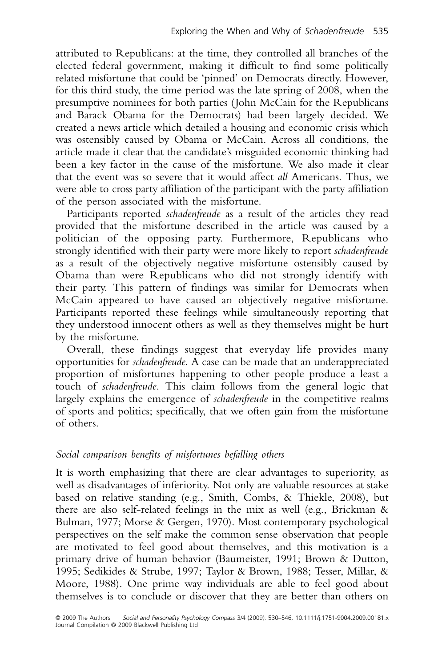attributed to Republicans: at the time, they controlled all branches of the elected federal government, making it difficult to find some politically related misfortune that could be 'pinned' on Democrats directly. However, for this third study, the time period was the late spring of 2008, when the presumptive nominees for both parties (John McCain for the Republicans and Barack Obama for the Democrats) had been largely decided. We created a news article which detailed a housing and economic crisis which was ostensibly caused by Obama or McCain. Across all conditions, the article made it clear that the candidate's misguided economic thinking had been a key factor in the cause of the misfortune. We also made it clear that the event was so severe that it would affect *all* Americans. Thus, we were able to cross party affiliation of the participant with the party affiliation of the person associated with the misfortune.

Participants reported *schadenfreude* as a result of the articles they read provided that the misfortune described in the article was caused by a politician of the opposing party. Furthermore, Republicans who strongly identified with their party were more likely to report *schadenfreude* as a result of the objectively negative misfortune ostensibly caused by Obama than were Republicans who did not strongly identify with their party. This pattern of findings was similar for Democrats when McCain appeared to have caused an objectively negative misfortune. Participants reported these feelings while simultaneously reporting that they understood innocent others as well as they themselves might be hurt by the misfortune.

Overall, these findings suggest that everyday life provides many opportunities for *schadenfreude.* A case can be made that an underappreciated proportion of misfortunes happening to other people produce a least a touch of *schadenfreude*. This claim follows from the general logic that largely explains the emergence of *schadenfreude* in the competitive realms of sports and politics; specifically, that we often gain from the misfortune of others.

#### *Social comparison benefits of misfortunes befalling others*

It is worth emphasizing that there are clear advantages to superiority, as well as disadvantages of inferiority. Not only are valuable resources at stake based on relative standing (e.g., Smith, Combs, & Thiekle, 2008), but there are also self-related feelings in the mix as well (e.g., Brickman & Bulman, 1977; Morse & Gergen, 1970). Most contemporary psychological perspectives on the self make the common sense observation that people are motivated to feel good about themselves, and this motivation is a primary drive of human behavior (Baumeister, 1991; Brown & Dutton, 1995; Sedikides & Strube, 1997; Taylor & Brown, 1988; Tesser, Millar, & Moore, 1988). One prime way individuals are able to feel good about themselves is to conclude or discover that they are better than others on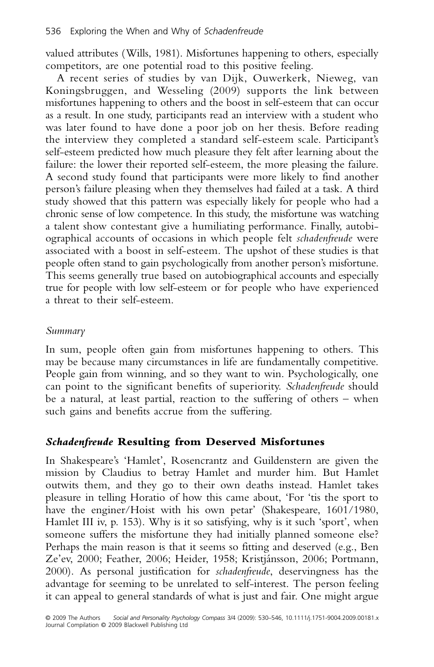valued attributes (Wills, 1981). Misfortunes happening to others, especially competitors, are one potential road to this positive feeling.

A recent series of studies by van Dijk, Ouwerkerk, Nieweg, van Koningsbruggen, and Wesseling (2009) supports the link between misfortunes happening to others and the boost in self-esteem that can occur as a result. In one study, participants read an interview with a student who was later found to have done a poor job on her thesis. Before reading the interview they completed a standard self-esteem scale. Participant's self-esteem predicted how much pleasure they felt after learning about the failure: the lower their reported self-esteem, the more pleasing the failure. A second study found that participants were more likely to find another person's failure pleasing when they themselves had failed at a task. A third study showed that this pattern was especially likely for people who had a chronic sense of low competence. In this study, the misfortune was watching a talent show contestant give a humiliating performance. Finally, autobiographical accounts of occasions in which people felt *schadenfreude* were associated with a boost in self-esteem. The upshot of these studies is that people often stand to gain psychologically from another person's misfortune. This seems generally true based on autobiographical accounts and especially true for people with low self-esteem or for people who have experienced a threat to their self-esteem.

### *Summary*

In sum, people often gain from misfortunes happening to others. This may be because many circumstances in life are fundamentally competitive. People gain from winning, and so they want to win. Psychologically, one can point to the significant benefits of superiority. *Schadenfreude* should be a natural, at least partial, reaction to the suffering of others – when such gains and benefits accrue from the suffering.

# *Schadenfreude* **Resulting from Deserved Misfortunes**

In Shakespeare's 'Hamlet', Rosencrantz and Guildenstern are given the mission by Claudius to betray Hamlet and murder him. But Hamlet outwits them, and they go to their own deaths instead. Hamlet takes pleasure in telling Horatio of how this came about, 'For 'tis the sport to have the enginer/Hoist with his own petar' (Shakespeare, 1601/1980, Hamlet III iv, p. 153). Why is it so satisfying, why is it such 'sport', when someone suffers the misfortune they had initially planned someone else? Perhaps the main reason is that it seems so fitting and deserved (e.g., Ben Ze'ev, 2000; Feather, 2006; Heider, 1958; Kristjánsson, 2006; Portmann, 2000). As personal justification for *schadenfreude*, deservingness has the advantage for seeming to be unrelated to self-interest. The person feeling it can appeal to general standards of what is just and fair. One might argue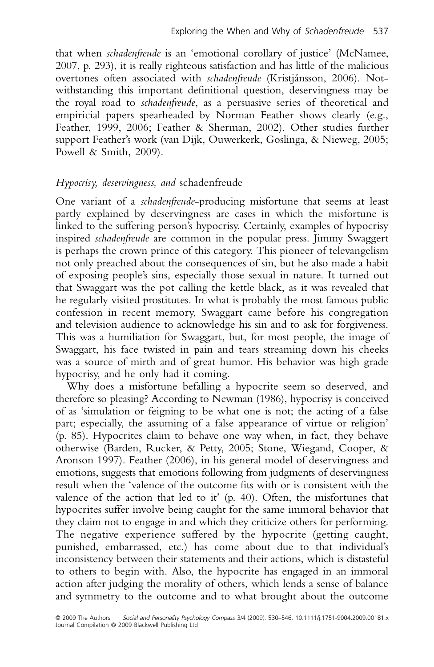that when *schadenfreude* is an 'emotional corollary of justice' (McNamee, 2007, p. 293), it is really righteous satisfaction and has little of the malicious overtones often associated with *schadenfreude* (Kristjánsson, 2006). Notwithstanding this important definitional question, deservingness may be the royal road to *schadenfreude*, as a persuasive series of theoretical and empiricial papers spearheaded by Norman Feather shows clearly (e.g., Feather, 1999, 2006; Feather & Sherman, 2002). Other studies further support Feather's work (van Dijk, Ouwerkerk, Goslinga, & Nieweg, 2005; Powell & Smith, 2009).

#### *Hypocrisy, deservingness, and* schadenfreude

One variant of a *schadenfreude*-producing misfortune that seems at least partly explained by deservingness are cases in which the misfortune is linked to the suffering person's hypocrisy. Certainly, examples of hypocrisy inspired *schadenfreude* are common in the popular press. Jimmy Swaggert is perhaps the crown prince of this category. This pioneer of televangelism not only preached about the consequences of sin, but he also made a habit of exposing people's sins, especially those sexual in nature. It turned out that Swaggart was the pot calling the kettle black, as it was revealed that he regularly visited prostitutes. In what is probably the most famous public confession in recent memory, Swaggart came before his congregation and television audience to acknowledge his sin and to ask for forgiveness. This was a humiliation for Swaggart, but, for most people, the image of Swaggart, his face twisted in pain and tears streaming down his cheeks was a source of mirth and of great humor. His behavior was high grade hypocrisy, and he only had it coming.

Why does a misfortune befalling a hypocrite seem so deserved, and therefore so pleasing? According to Newman (1986), hypocrisy is conceived of as 'simulation or feigning to be what one is not; the acting of a false part; especially, the assuming of a false appearance of virtue or religion' (p. 85). Hypocrites claim to behave one way when, in fact, they behave otherwise (Barden, Rucker, & Petty, 2005; Stone, Wiegand, Cooper, & Aronson 1997). Feather (2006), in his general model of deservingness and emotions, suggests that emotions following from judgments of deservingness result when the 'valence of the outcome fits with or is consistent with the valence of the action that led to it' (p. 40). Often, the misfortunes that hypocrites suffer involve being caught for the same immoral behavior that they claim not to engage in and which they criticize others for performing. The negative experience suffered by the hypocrite (getting caught, punished, embarrassed, etc.) has come about due to that individual's inconsistency between their statements and their actions, which is distasteful to others to begin with. Also, the hypocrite has engaged in an immoral action after judging the morality of others, which lends a sense of balance and symmetry to the outcome and to what brought about the outcome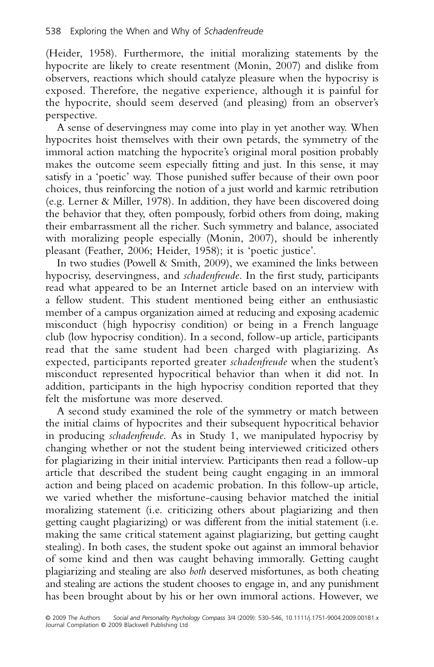(Heider, 1958). Furthermore, the initial moralizing statements by the hypocrite are likely to create resentment (Monin, 2007) and dislike from observers, reactions which should catalyze pleasure when the hypocrisy is exposed. Therefore, the negative experience, although it is painful for the hypocrite, should seem deserved (and pleasing) from an observer's perspective.

A sense of deservingness may come into play in yet another way. When hypocrites hoist themselves with their own petards, the symmetry of the immoral action matching the hypocrite's original moral position probably makes the outcome seem especially fitting and just. In this sense, it may satisfy in a 'poetic' way. Those punished suffer because of their own poor choices, thus reinforcing the notion of a just world and karmic retribution (e.g. Lerner & Miller, 1978). In addition, they have been discovered doing the behavior that they, often pompously, forbid others from doing, making their embarrassment all the richer. Such symmetry and balance, associated with moralizing people especially (Monin, 2007), should be inherently pleasant (Feather, 2006; Heider, 1958); it is 'poetic justice'.

In two studies (Powell & Smith, 2009), we examined the links between hypocrisy, deservingness, and *schadenfreude*. In the first study, participants read what appeared to be an Internet article based on an interview with a fellow student. This student mentioned being either an enthusiastic member of a campus organization aimed at reducing and exposing academic misconduct (high hypocrisy condition) or being in a French language club (low hypocrisy condition). In a second, follow-up article, participants read that the same student had been charged with plagiarizing. As expected, participants reported greater *schadenfreude* when the student's misconduct represented hypocritical behavior than when it did not. In addition, participants in the high hypocrisy condition reported that they felt the misfortune was more deserved.

A second study examined the role of the symmetry or match between the initial claims of hypocrites and their subsequent hypocritical behavior in producing *schadenfreude*. As in Study 1, we manipulated hypocrisy by changing whether or not the student being interviewed criticized others for plagiarizing in their initial interview. Participants then read a follow-up article that described the student being caught engaging in an immoral action and being placed on academic probation. In this follow-up article, we varied whether the misfortune-causing behavior matched the initial moralizing statement (i.e. criticizing others about plagiarizing and then getting caught plagiarizing) or was different from the initial statement (i.e. making the same critical statement against plagiarizing, but getting caught stealing). In both cases, the student spoke out against an immoral behavior of some kind and then was caught behaving immorally. Getting caught plagiarizing and stealing are also *both* deserved misfortunes, as both cheating and stealing are actions the student chooses to engage in, and any punishment has been brought about by his or her own immoral actions. However, we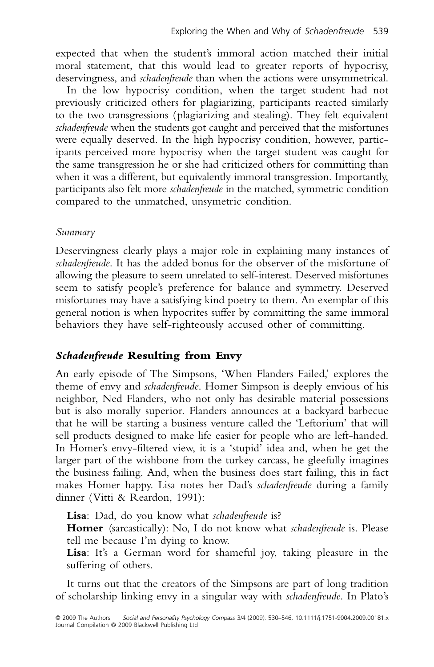expected that when the student's immoral action matched their initial moral statement, that this would lead to greater reports of hypocrisy, deservingness, and *schadenfreude* than when the actions were unsymmetrical.

In the low hypocrisy condition, when the target student had not previously criticized others for plagiarizing, participants reacted similarly to the two transgressions (plagiarizing and stealing). They felt equivalent *schadenfreude* when the students got caught and perceived that the misfortunes were equally deserved. In the high hypocrisy condition, however, participants perceived more hypocrisy when the target student was caught for the same transgression he or she had criticized others for committing than when it was a different, but equivalently immoral transgression. Importantly, participants also felt more *schadenfreude* in the matched, symmetric condition compared to the unmatched, unsymetric condition.

#### *Summary*

Deservingness clearly plays a major role in explaining many instances of *schadenfreude*. It has the added bonus for the observer of the misfortune of allowing the pleasure to seem unrelated to self-interest. Deserved misfortunes seem to satisfy people's preference for balance and symmetry. Deserved misfortunes may have a satisfying kind poetry to them. An exemplar of this general notion is when hypocrites suffer by committing the same immoral behaviors they have self-righteously accused other of committing.

# *Schadenfreude* **Resulting from Envy**

An early episode of The Simpsons, 'When Flanders Failed,' explores the theme of envy and *schadenfreude*. Homer Simpson is deeply envious of his neighbor, Ned Flanders, who not only has desirable material possessions but is also morally superior. Flanders announces at a backyard barbecue that he will be starting a business venture called the 'Leftorium' that will sell products designed to make life easier for people who are left-handed. In Homer's envy-filtered view, it is a 'stupid' idea and, when he get the larger part of the wishbone from the turkey carcass, he gleefully imagines the business failing. And, when the business does start failing, this in fact makes Homer happy. Lisa notes her Dad's *schadenfreude* during a family dinner (Vitti & Reardon, 1991):

**Lisa**: Dad, do you know what *schadenfreude* is?

**Homer** (sarcastically): No, I do not know what *schadenfreude* is. Please tell me because I'm dying to know.

**Lisa**: It's a German word for shameful joy, taking pleasure in the suffering of others.

It turns out that the creators of the Simpsons are part of long tradition of scholarship linking envy in a singular way with *schadenfreude*. In Plato's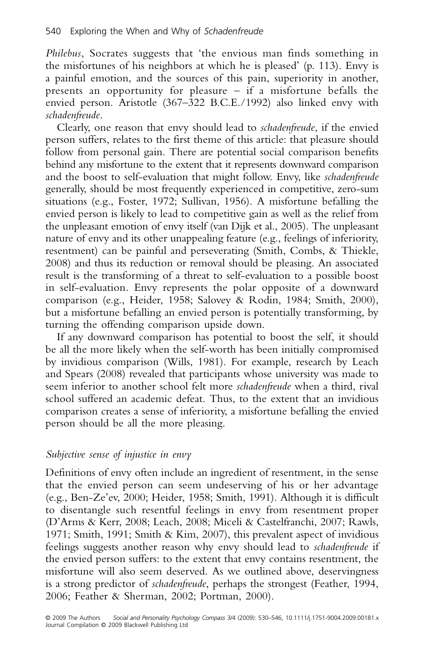*Philebus*, Socrates suggests that 'the envious man finds something in the misfortunes of his neighbors at which he is pleased' (p. 113). Envy is a painful emotion, and the sources of this pain, superiority in another, presents an opportunity for pleasure – if a misfortune befalls the envied person. Aristotle (367–322 B.C.E./1992) also linked envy with *schadenfreude*.

Clearly, one reason that envy should lead to *schadenfreude*, if the envied person suffers, relates to the first theme of this article: that pleasure should follow from personal gain. There are potential social comparison benefits behind any misfortune to the extent that it represents downward comparison and the boost to self-evaluation that might follow. Envy, like *schadenfreude* generally, should be most frequently experienced in competitive, zero-sum situations (e.g., Foster, 1972; Sullivan, 1956). A misfortune befalling the envied person is likely to lead to competitive gain as well as the relief from the unpleasant emotion of envy itself (van Dijk et al., 2005). The unpleasant nature of envy and its other unappealing feature (e.g., feelings of inferiority, resentment) can be painful and perseverating (Smith, Combs, & Thiekle, 2008) and thus its reduction or removal should be pleasing. An associated result is the transforming of a threat to self-evaluation to a possible boost in self-evaluation. Envy represents the polar opposite of a downward comparison (e.g., Heider, 1958; Salovey & Rodin, 1984; Smith, 2000), but a misfortune befalling an envied person is potentially transforming, by turning the offending comparison upside down.

If any downward comparison has potential to boost the self, it should be all the more likely when the self-worth has been initially compromised by invidious comparison (Wills, 1981). For example, research by Leach and Spears (2008) revealed that participants whose university was made to seem inferior to another school felt more *schadenfreude* when a third, rival school suffered an academic defeat. Thus, to the extent that an invidious comparison creates a sense of inferiority, a misfortune befalling the envied person should be all the more pleasing.

#### *Subjective sense of injustice in envy*

Definitions of envy often include an ingredient of resentment, in the sense that the envied person can seem undeserving of his or her advantage (e.g., Ben-Ze'ev, 2000; Heider, 1958; Smith, 1991). Although it is difficult to disentangle such resentful feelings in envy from resentment proper (D'Arms & Kerr, 2008; Leach, 2008; Miceli & Castelfranchi, 2007; Rawls, 1971; Smith, 1991; Smith & Kim, 2007), this prevalent aspect of invidious feelings suggests another reason why envy should lead to *schadenfreude* if the envied person suffers: to the extent that envy contains resentment, the misfortune will also seem deserved. As we outlined above, deservingness is a strong predictor of *schadenfreude*, perhaps the strongest (Feather, 1994, 2006; Feather & Sherman, 2002; Portman, 2000).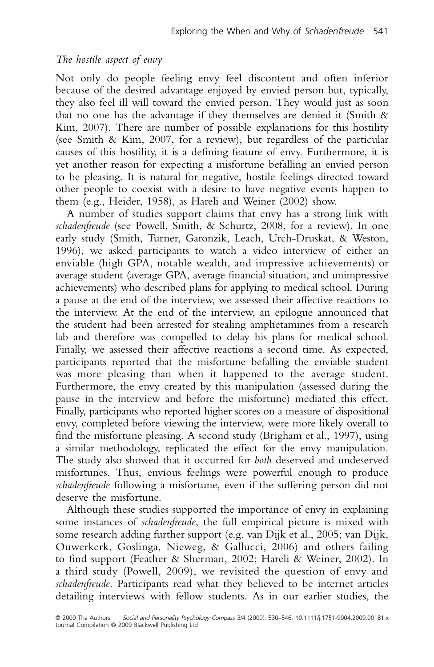#### *The hostile aspect of envy*

Not only do people feeling envy feel discontent and often inferior because of the desired advantage enjoyed by envied person but, typically, they also feel ill will toward the envied person. They would just as soon that no one has the advantage if they themselves are denied it (Smith  $\&$ Kim, 2007). There are number of possible explanations for this hostility (see Smith & Kim, 2007, for a review), but regardless of the particular causes of this hostility, it is a defining feature of envy. Furthermore, it is yet another reason for expecting a misfortune befalling an envied person to be pleasing. It is natural for negative, hostile feelings directed toward other people to coexist with a desire to have negative events happen to them (e.g., Heider, 1958), as Hareli and Weiner (2002) show.

A number of studies support claims that envy has a strong link with *schadenfreude* (see Powell, Smith, & Schurtz, 2008, for a review). In one early study (Smith, Turner, Garonzik, Leach, Urch-Druskat, & Weston, 1996), we asked participants to watch a video interview of either an enviable (high GPA, notable wealth, and impressive achievements) or average student (average GPA, average financial situation, and unimpressive achievements) who described plans for applying to medical school. During a pause at the end of the interview, we assessed their affective reactions to the interview. At the end of the interview, an epilogue announced that the student had been arrested for stealing amphetamines from a research lab and therefore was compelled to delay his plans for medical school. Finally, we assessed their affective reactions a second time. As expected, participants reported that the misfortune befalling the enviable student was more pleasing than when it happened to the average student. Furthermore, the envy created by this manipulation (assessed during the pause in the interview and before the misfortune) mediated this effect. Finally, participants who reported higher scores on a measure of dispositional envy, completed before viewing the interview, were more likely overall to find the misfortune pleasing. A second study (Brigham et al., 1997), using a similar methodology, replicated the effect for the envy manipulation. The study also showed that it occurred for *both* deserved and undeserved misfortunes. Thus, envious feelings were powerful enough to produce *schadenfreude* following a misfortune, even if the suffering person did not deserve the misfortune.

Although these studies supported the importance of envy in explaining some instances of *schadenfreude*, the full empirical picture is mixed with some research adding further support (e.g. van Dijk et al., 2005; van Dijk, Ouwerkerk, Goslinga, Nieweg, & Gallucci, 2006) and others failing to find support (Feather & Sherman, 2002; Hareli & Weiner, 2002). In a third study (Powell, 2009), we revisited the question of envy and *schadenfreude*. Participants read what they believed to be internet articles detailing interviews with fellow students. As in our earlier studies, the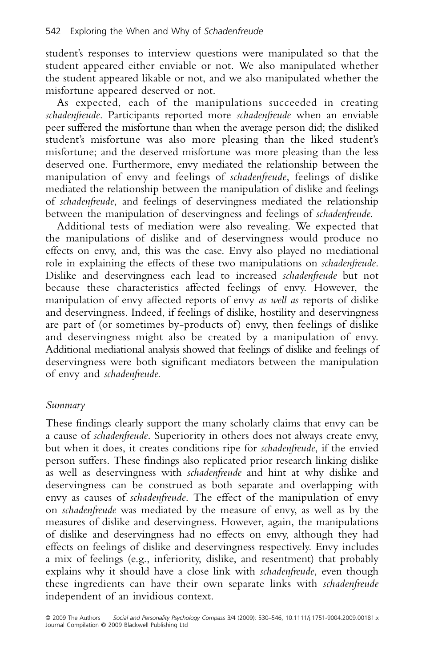student's responses to interview questions were manipulated so that the student appeared either enviable or not. We also manipulated whether the student appeared likable or not, and we also manipulated whether the misfortune appeared deserved or not.

As expected, each of the manipulations succeeded in creating *schadenfreude*. Participants reported more *schadenfreude* when an enviable peer suffered the misfortune than when the average person did; the disliked student's misfortune was also more pleasing than the liked student's misfortune; and the deserved misfortune was more pleasing than the less deserved one. Furthermore, envy mediated the relationship between the manipulation of envy and feelings of *schadenfreude*, feelings of dislike mediated the relationship between the manipulation of dislike and feelings of *schadenfreude*, and feelings of deservingness mediated the relationship between the manipulation of deservingness and feelings of *schadenfreude.*

Additional tests of mediation were also revealing. We expected that the manipulations of dislike and of deservingness would produce no effects on envy, and, this was the case. Envy also played no mediational role in explaining the effects of these two manipulations on *schadenfreude*. Dislike and deservingness each lead to increased *schadenfreude* but not because these characteristics affected feelings of envy. However, the manipulation of envy affected reports of envy *as well as* reports of dislike and deservingness. Indeed, if feelings of dislike, hostility and deservingness are part of (or sometimes by-products of) envy, then feelings of dislike and deservingness might also be created by a manipulation of envy. Additional mediational analysis showed that feelings of dislike and feelings of deservingness were both significant mediators between the manipulation of envy and *schadenfreude.*

#### *Summary*

These findings clearly support the many scholarly claims that envy can be a cause of *schadenfreude*. Superiority in others does not always create envy, but when it does, it creates conditions ripe for *schadenfreude*, if the envied person suffers. These findings also replicated prior research linking dislike as well as deservingness with *schadenfreude* and hint at why dislike and deservingness can be construed as both separate and overlapping with envy as causes of *schadenfreude*. The effect of the manipulation of envy on *schadenfreude* was mediated by the measure of envy, as well as by the measures of dislike and deservingness. However, again, the manipulations of dislike and deservingness had no effects on envy, although they had effects on feelings of dislike and deservingness respectively. Envy includes a mix of feelings (e.g., inferiority, dislike, and resentment) that probably explains why it should have a close link with *schadenfreude*, even though these ingredients can have their own separate links with *schadenfreude* independent of an invidious context.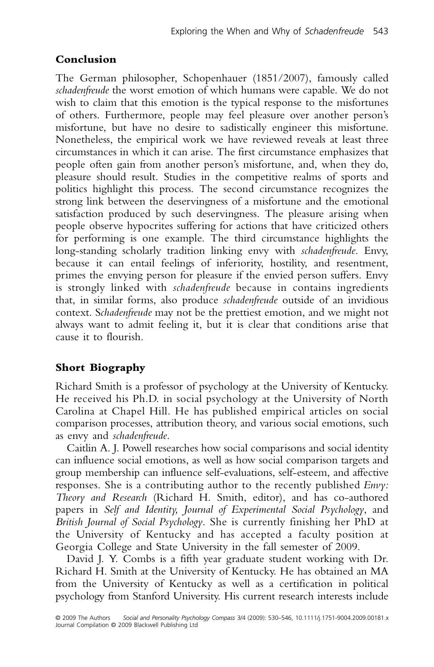# **Conclusion**

The German philosopher, Schopenhauer (1851/2007), famously called *schadenfreude* the worst emotion of which humans were capable. We do not wish to claim that this emotion is the typical response to the misfortunes of others. Furthermore, people may feel pleasure over another person's misfortune, but have no desire to sadistically engineer this misfortune. Nonetheless, the empirical work we have reviewed reveals at least three circumstances in which it can arise. The first circumstance emphasizes that people often gain from another person's misfortune, and, when they do, pleasure should result. Studies in the competitive realms of sports and politics highlight this process. The second circumstance recognizes the strong link between the deservingness of a misfortune and the emotional satisfaction produced by such deservingness. The pleasure arising when people observe hypocrites suffering for actions that have criticized others for performing is one example. The third circumstance highlights the long-standing scholarly tradition linking envy with *schadenfreude*. Envy, because it can entail feelings of inferiority, hostility, and resentment, primes the envying person for pleasure if the envied person suffers. Envy is strongly linked with *schadenfreude* because in contains ingredients that, in similar forms, also produce *schadenfreude* outside of an invidious context. S*chadenfreude* may not be the prettiest emotion, and we might not always want to admit feeling it, but it is clear that conditions arise that cause it to flourish.

# **Short Biography**

Richard Smith is a professor of psychology at the University of Kentucky. He received his Ph.D. in social psychology at the University of North Carolina at Chapel Hill. He has published empirical articles on social comparison processes, attribution theory, and various social emotions, such as envy and *schadenfreude*.

Caitlin A. J. Powell researches how social comparisons and social identity can influence social emotions, as well as how social comparison targets and group membership can influence self-evaluations, self-esteem, and affective responses. She is a contributing author to the recently published *Envy: Theory and Research* (Richard H. Smith, editor), and has co-authored papers in *Self and Identity, Journal of Experimental Social Psychology*, and *British Journal of Social Psychology*. She is currently finishing her PhD at the University of Kentucky and has accepted a faculty position at Georgia College and State University in the fall semester of 2009.

David J. Y. Combs is a fifth year graduate student working with Dr. Richard H. Smith at the University of Kentucky. He has obtained an MA from the University of Kentucky as well as a certification in political psychology from Stanford University. His current research interests include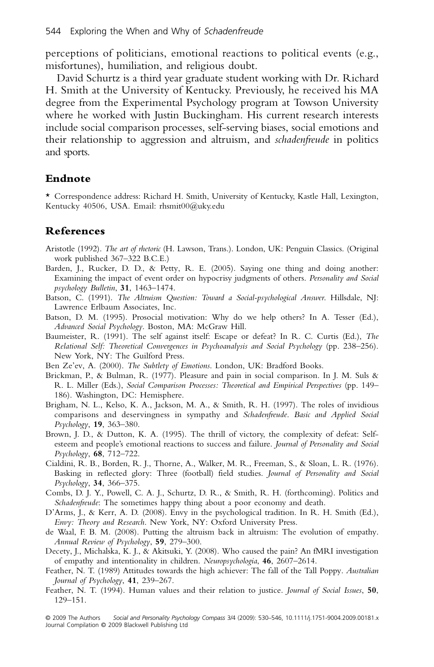perceptions of politicians, emotional reactions to political events (e.g., misfortunes), humiliation, and religious doubt.

David Schurtz is a third year graduate student working with Dr. Richard H. Smith at the University of Kentucky. Previously, he received his MA degree from the Experimental Psychology program at Towson University where he worked with Justin Buckingham. His current research interests include social comparison processes, self-serving biases, social emotions and their relationship to aggression and altruism, and *schadenfreude* in politics and sports.

#### **Endnote**

\* Correspondence address: Richard H. Smith, University of Kentucky, Kastle Hall, Lexington, Kentucky 40506, USA. Email: rhsmit00@uky.edu

# **References**

- Aristotle (1992). *The art of rhetoric* (H. Lawson, Trans.). London, UK: Penguin Classics. (Original work published 367–322 B.C.E.)
- Barden, J., Rucker, D. D., & Petty, R. E. (2005). Saying one thing and doing another: Examining the impact of event order on hypocrisy judgments of others. *Personality and Social psychology Bulletin*, **31**, 1463–1474.
- Batson, C. (1991). *The Altruism Question: Toward a Social-psychological Answer*. Hillsdale, NJ: Lawrence Erlbaum Associates, Inc.
- Batson, D. M. (1995). Prosocial motivation: Why do we help others? In A. Tesser (Ed.), *Advanced Social Psychology*. Boston, MA: McGraw Hill.
- Baumeister, R. (1991). The self against itself: Escape or defeat? In R. C. Curtis (Ed.), *The Relational Self: Theoretical Convergences in Psychoanalysis and Social Psychology* (pp. 238–256). New York, NY: The Guilford Press.
- Ben Ze'ev, A. (2000). *The Subtlety of Emotions*. London, UK: Bradford Books.
- Brickman, P., & Bulman, R. (1977). Pleasure and pain in social comparison. In J. M. Suls & R. L. Miller (Eds.), *Social Comparison Processes: Theoretical and Empirical Perspectives* (pp. 149– 186). Washington, DC: Hemisphere.
- Brigham, N. L., Kelso, K. A., Jackson, M. A., & Smith, R. H. (1997). The roles of invidious comparisons and deservingness in sympathy and *Schadenfreude*. *Basic and Applied Social Psychology*, **19**, 363–380.
- Brown, J. D., & Dutton, K. A. (1995). The thrill of victory, the complexity of defeat: Selfesteem and people's emotional reactions to success and failure. *Journal of Personality and Social Psychology*, **68**, 712–722.
- Cialdini, R. B., Borden, R. J., Thorne, A., Walker, M. R., Freeman, S., & Sloan, L. R. (1976). Basking in reflected glory: Three (football) field studies. *Journal of Personality and Social Psychology*, **34**, 366–375.
- Combs, D. J. Y., Powell, C. A. J., Schurtz, D. R., & Smith, R. H. (forthcoming). Politics and *Schadenfreude*: The sometimes happy thing about a poor economy and death.
- D'Arms, J., & Kerr, A. D. (2008). Envy in the psychological tradition. In R. H. Smith (Ed.), *Envy: Theory and Research*. New York, NY: Oxford University Press.
- de Waal, F. B. M. (2008). Putting the altruism back in altruism: The evolution of empathy. *Annual Review of Psychology*, **59**, 279–300.
- Decety, J., Michalska, K. J., & Akitsuki, Y. (2008). Who caused the pain? An fMRI investigation of empathy and intentionality in children. *Neuropsychologia*, **46**, 2607–2614.
- Feather, N. T. (1989) Attitudes towards the high achiever: The fall of the Tall Poppy. *Australian Journal of Psychology*, **41**, 239–267.
- Feather, N. T. (1994). Human values and their relation to justice. *Journal of Social Issues*, **50**, 129–151.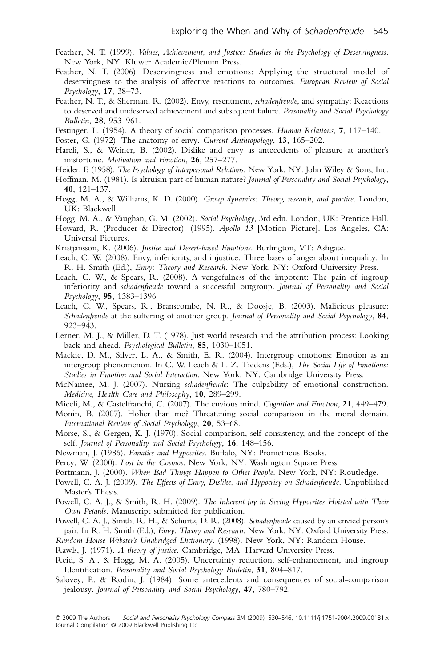- Feather, N. T. (1999). *Values, Achievement, and Justice: Studies in the Psychology of Deservingness*. New York, NY: Kluwer Academic/Plenum Press.
- Feather, N. T. (2006). Deservingness and emotions: Applying the structural model of deservingness to the analysis of affective reactions to outcomes. *European Review of Social Psychology*, **17**, 38–73.
- Feather, N. T., & Sherman, R. (2002). Envy, resentment, *schadenfreude*, and sympathy: Reactions to deserved and undeserved achievement and subsequent failure. *Personality and Social Psychology Bulletin*, **28**, 953–961.
- Festinger, L. (1954). A theory of social comparison processes. *Human Relations*, **7**, 117–140.

Foster, G. (1972). The anatomy of envy. *Current Anthropology*, **13**, 165–202.

- Hareli, S., & Weiner, B. (2002). Dislike and envy as antecedents of pleasure at another's misfortune. *Motivation and Emotion*, **26**, 257–277.
- Heider, F. (1958). *The Psychology of Interpersonal Relations*. New York, NY: John Wiley & Sons, Inc.
- Hoffman, M. (1981). Is altruism part of human nature? *Journal of Personality and Social Psychology*, **40**, 121–137.
- Hogg, M. A., & Williams, K. D. (2000). *Group dynamics: Theory, research, and practice*. London, UK: Blackwell.
- Hogg, M. A., & Vaughan, G. M. (2002). *Social Psychology*, 3rd edn. London, UK: Prentice Hall.
- Howard, R. (Producer & Director). (1995). *Apollo 13* [Motion Picture]. Los Angeles, CA: Universal Pictures.
- Kristjánsson, K. (2006). *Justice and Desert-based Emotions*. Burlington, VT: Ashgate.
- Leach, C. W. (2008). Envy, inferiority, and injustice: Three bases of anger about inequality. In R. H. Smith (Ed.), *Envy: Theory and Research*. New York, NY: Oxford University Press.
- Leach, C. W., & Spears, R. (2008). A vengefulness of the impotent: The pain of ingroup inferiority and *schadenfreude* toward a successful outgroup. *Journal of Personality and Social Psychology*, **95**, 1383–1396
- Leach, C. W., Spears, R., Branscombe, N. R., & Doosje, B. (2003). Malicious pleasure: *Schadenfreude* at the suffering of another group. *Journal of Personality and Social Psychology*, **84**, 923–943.
- Lerner, M. J., & Miller, D. T. (1978). Just world research and the attribution process: Looking back and ahead. *Psychological Bulletin*, **85**, 1030–1051.
- Mackie, D. M., Silver, L. A., & Smith, E. R. (2004). Intergroup emotions: Emotion as an intergroup phenomenon. In C. W. Leach & L. Z. Tiedens (Eds.), *The Social Life of Emotions: Studies in Emotion and Social Interaction*. New York, NY: Cambridge University Press.
- McNamee, M. J. (2007). Nursing *schadenfreude*: The culpability of emotional construction. *Medicine, Health Care and Philosophy*, **10**, 289–299.
- Miceli, M., & Castelfranchi, C. (2007). The envious mind. *Cognition and Emotion*, **21**, 449–479.
- Monin, B. (2007). Holier than me? Threatening social comparison in the moral domain. *International Review of Social Psychology*, **20**, 53–68.
- Morse, S., & Gergen, K. J. (1970). Social comparison, self-consistency, and the concept of the self. *Journal of Personality and Social Psychology*, **16**, 148–156.
- Newman, J. (1986). *Fanatics and Hypocrites*. Buffalo, NY: Prometheus Books.
- Percy, W. (2000). *Lost in the Cosmos*. New York, NY: Washington Square Press.
- Portmann, J. (2000). *When Bad Things Happen to Other People*. New York, NY: Routledge.
- Powell, C. A. J. (2009). *The Effects of Envy, Dislike, and Hypocrisy on Schadenfreude*. Unpublished Master's Thesis.
- Powell, C. A. J., & Smith, R. H. (2009). *The Inherent joy in Seeing Hypocrites Hoisted with Their Own Petards*. Manuscript submitted for publication.
- Powell, C. A. J., Smith, R. H., & Schurtz, D. R. (2008). *Schadenfreude* caused by an envied person's pair. In R. H. Smith (Ed.), *Envy: Theory and Research*. New York, NY: Oxford University Press.
- *Random House Webster's Unabridged Dictionary*. (1998). New York, NY: Random House.
- Rawls, J. (1971). *A theory of justice*. Cambridge, MA: Harvard University Press.
- Reid, S. A., & Hogg, M. A. (2005). Uncertainty reduction, self-enhancement, and ingroup Identification. *Personality and Social Psychology Bulletin*, **31**, 804–817.
- Salovey, P., & Rodin, J. (1984). Some antecedents and consequences of social-comparison jealousy. *Journal of Personality and Social Psychology*, **47**, 780–792.